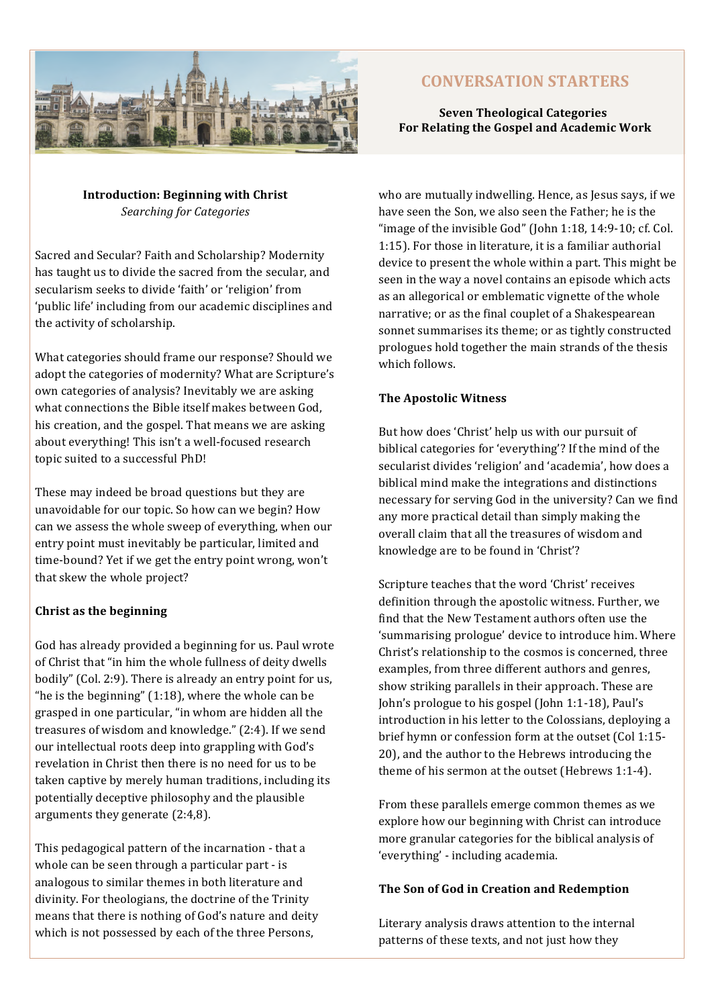

# **CONVERSATION STARTERS**

# **Seven Theological Categories For Relating the Gospel and Academic Work**

**Introduction: Beginning with Christ** *Searching for Categories*

Sacred and Secular? Faith and Scholarship? Modernity has taught us to divide the sacred from the secular, and secularism seeks to divide 'faith' or 'religion' from 'public life' including from our academic disciplines and the activity of scholarship.

What categories should frame our response? Should we adopt the categories of modernity? What are Scripture's own categories of analysis? Inevitably we are asking what connections the Bible itself makes between God. his creation, and the gospel. That means we are asking about everything! This isn't a well-focused research topic suited to a successful PhD!

These may indeed be broad questions but they are unavoidable for our topic. So how can we begin? How can we assess the whole sweep of everything, when our entry point must inevitably be particular, limited and time-bound? Yet if we get the entry point wrong, won't that skew the whole project?

## **Christ as the beginning**

God has already provided a beginning for us. Paul wrote of Christ that "in him the whole fullness of deity dwells bodily" (Col. 2:9). There is already an entry point for us, "he is the beginning"  $(1:18)$ , where the whole can be grasped in one particular, "in whom are hidden all the treasures of wisdom and knowledge." (2:4). If we send our intellectual roots deep into grappling with God's revelation in Christ then there is no need for us to be taken captive by merely human traditions, including its potentially deceptive philosophy and the plausible arguments they generate  $(2:4,8)$ .

This pedagogical pattern of the incarnation - that a whole can be seen through a particular part  $\cdot$  is analogous to similar themes in both literature and divinity. For theologians, the doctrine of the Trinity means that there is nothing of God's nature and deity which is not possessed by each of the three Persons,

who are mutually indwelling. Hence, as Jesus says, if we have seen the Son, we also seen the Father; he is the "image of the invisible  $God$ " (John  $1:18$ ,  $14:9-10$ ; cf. Col. 1:15). For those in literature, it is a familiar authorial device to present the whole within a part. This might be seen in the way a novel contains an episode which acts as an allegorical or emblematic vignette of the whole narrative; or as the final couplet of a Shakespearean sonnet summarises its theme; or as tightly constructed prologues hold together the main strands of the thesis which follows.

# **The Apostolic Witness**

But how does 'Christ' help us with our pursuit of biblical categories for 'everything'? If the mind of the secularist divides 'religion' and 'academia', how does a biblical mind make the integrations and distinctions necessary for serving God in the university? Can we find any more practical detail than simply making the overall claim that all the treasures of wisdom and knowledge are to be found in 'Christ'?

Scripture teaches that the word 'Christ' receives definition through the apostolic witness. Further, we find that the New Testament authors often use the 'summarising prologue' device to introduce him. Where Christ's relationship to the cosmos is concerned, three examples, from three different authors and genres, show striking parallels in their approach. These are John's prologue to his gospel (John  $1:1-18$ ), Paul's introduction in his letter to the Colossians, deploying a brief hymn or confession form at the outset (Col 1:15-20), and the author to the Hebrews introducing the theme of his sermon at the outset (Hebrews 1:1-4).

From these parallels emerge common themes as we explore how our beginning with Christ can introduce more granular categories for the biblical analysis of 'everything' - including academia.

## The Son of God in Creation and Redemption

Literary analysis draws attention to the internal patterns of these texts, and not just how they